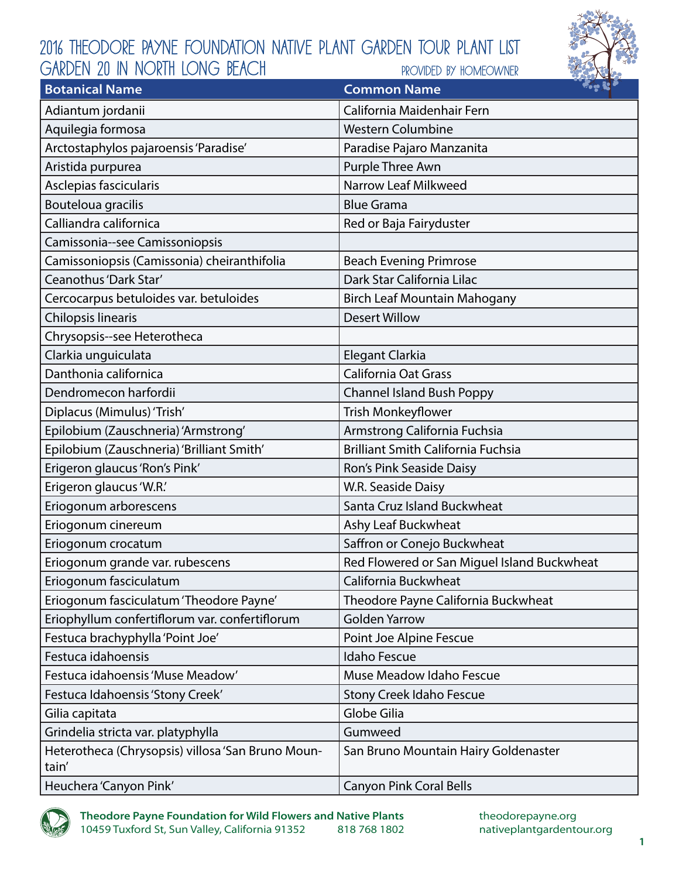## 2016 Theodore Payne Foundation Native Plant Garden Tour Plant List provided by homeowner GARDEN 20 IN NORTH LONG BEACH



| <b>Botanical Name</b>                                      | $\sim$ $\approx$ $\sim$<br><b>Common Name</b> |
|------------------------------------------------------------|-----------------------------------------------|
| Adiantum jordanii                                          | California Maidenhair Fern                    |
| Aquilegia formosa                                          | <b>Western Columbine</b>                      |
| Arctostaphylos pajaroensis 'Paradise'                      | Paradise Pajaro Manzanita                     |
| Aristida purpurea                                          | Purple Three Awn                              |
| Asclepias fascicularis                                     | <b>Narrow Leaf Milkweed</b>                   |
| Bouteloua gracilis                                         | <b>Blue Grama</b>                             |
| Calliandra californica                                     | Red or Baja Fairyduster                       |
| Camissonia--see Camissoniopsis                             |                                               |
| Camissoniopsis (Camissonia) cheiranthifolia                | <b>Beach Evening Primrose</b>                 |
| Ceanothus 'Dark Star'                                      | Dark Star California Lilac                    |
| Cercocarpus betuloides var. betuloides                     | <b>Birch Leaf Mountain Mahogany</b>           |
| Chilopsis linearis                                         | <b>Desert Willow</b>                          |
| Chrysopsis--see Heterotheca                                |                                               |
| Clarkia unguiculata                                        | Elegant Clarkia                               |
| Danthonia californica                                      | California Oat Grass                          |
| Dendromecon harfordii                                      | <b>Channel Island Bush Poppy</b>              |
| Diplacus (Mimulus) 'Trish'                                 | Trish Monkeyflower                            |
| Epilobium (Zauschneria) 'Armstrong'                        | Armstrong California Fuchsia                  |
| Epilobium (Zauschneria) 'Brilliant Smith'                  | <b>Brilliant Smith California Fuchsia</b>     |
| Erigeron glaucus 'Ron's Pink'                              | Ron's Pink Seaside Daisy                      |
| Erigeron glaucus 'W.R.'                                    | W.R. Seaside Daisy                            |
| Eriogonum arborescens                                      | Santa Cruz Island Buckwheat                   |
| Eriogonum cinereum                                         | Ashy Leaf Buckwheat                           |
| Eriogonum crocatum                                         | Saffron or Conejo Buckwheat                   |
| Eriogonum grande var. rubescens                            | Red Flowered or San Miguel Island Buckwheat   |
| Eriogonum fasciculatum                                     | California Buckwheat                          |
| Eriogonum fasciculatum 'Theodore Payne'                    | Theodore Payne California Buckwheat           |
| Eriophyllum confertiflorum var. confertiflorum             | <b>Golden Yarrow</b>                          |
| Festuca brachyphylla 'Point Joe'                           | Point Joe Alpine Fescue                       |
| Festuca idahoensis                                         | <b>Idaho Fescue</b>                           |
| Festuca idahoensis 'Muse Meadow'                           | Muse Meadow Idaho Fescue                      |
| Festuca Idahoensis 'Stony Creek'                           | <b>Stony Creek Idaho Fescue</b>               |
| Gilia capitata                                             | Globe Gilia                                   |
| Grindelia stricta var. platyphylla                         | Gumweed                                       |
| Heterotheca (Chrysopsis) villosa 'San Bruno Moun-<br>tain' | San Bruno Mountain Hairy Goldenaster          |
| Heuchera 'Canyon Pink'                                     | <b>Canyon Pink Coral Bells</b>                |